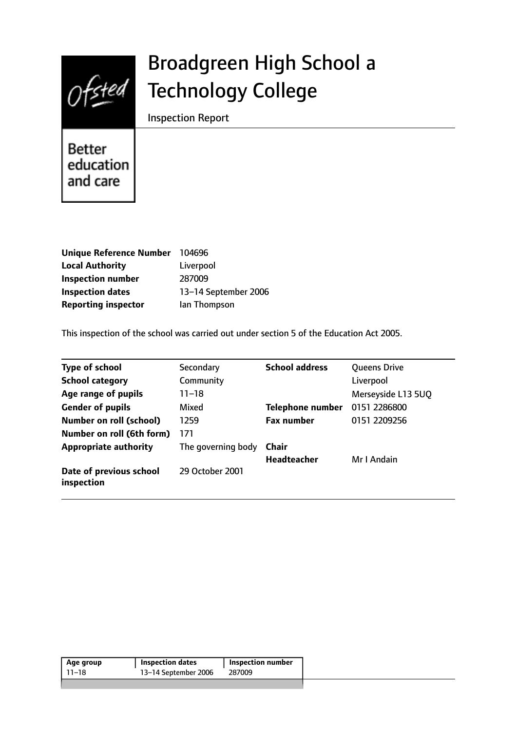

# Broadgreen High School a Technology College

Inspection Report

**Better** education and care

| <b>Unique Reference Number</b> | 104696               |
|--------------------------------|----------------------|
| <b>Local Authority</b>         | Liverpool            |
| <b>Inspection number</b>       | 287009               |
| <b>Inspection dates</b>        | 13-14 September 2006 |
| <b>Reporting inspector</b>     | lan Thompson         |

This inspection of the school was carried out under section 5 of the Education Act 2005.

| <b>Type of school</b>                 | Secondary          | <b>School address</b>   | <b>Queens Drive</b> |
|---------------------------------------|--------------------|-------------------------|---------------------|
| <b>School category</b>                | Community          |                         | Liverpool           |
| Age range of pupils                   | $11 - 18$          |                         | Merseyside L13 5UQ  |
| <b>Gender of pupils</b>               | Mixed              | <b>Telephone number</b> | 0151 2286800        |
| <b>Number on roll (school)</b>        | 1259               | <b>Fax number</b>       | 0151 2209256        |
| Number on roll (6th form)             | 171                |                         |                     |
| <b>Appropriate authority</b>          | The governing body | Chair                   |                     |
|                                       |                    | <b>Headteacher</b>      | Mr I Andain         |
| Date of previous school<br>inspection | 29 October 2001    |                         |                     |

| 11–18 | 13-14 September 2006 | 287009 |
|-------|----------------------|--------|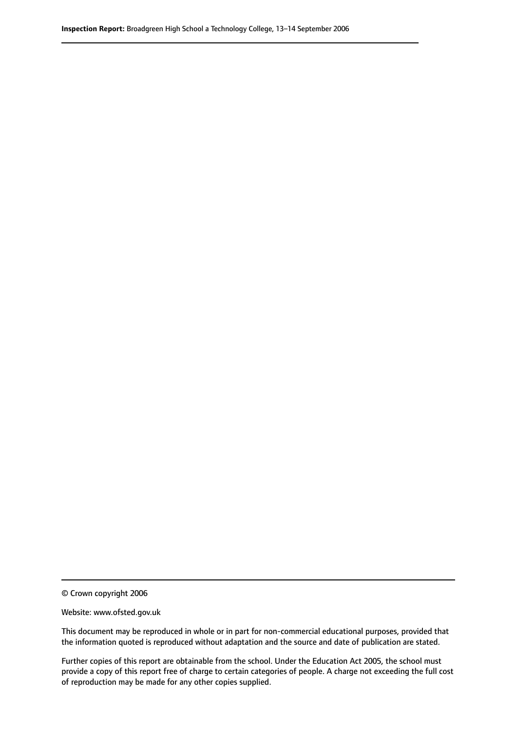© Crown copyright 2006

Website: www.ofsted.gov.uk

This document may be reproduced in whole or in part for non-commercial educational purposes, provided that the information quoted is reproduced without adaptation and the source and date of publication are stated.

Further copies of this report are obtainable from the school. Under the Education Act 2005, the school must provide a copy of this report free of charge to certain categories of people. A charge not exceeding the full cost of reproduction may be made for any other copies supplied.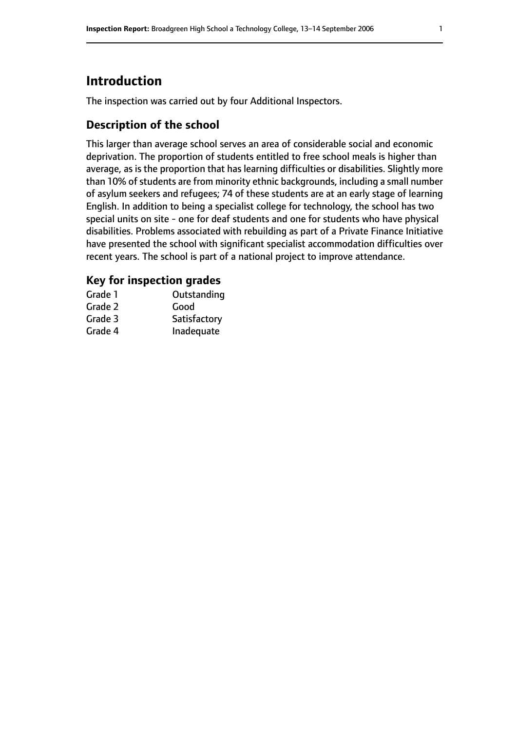# **Introduction**

The inspection was carried out by four Additional Inspectors.

## **Description of the school**

This larger than average school serves an area of considerable social and economic deprivation. The proportion of students entitled to free school meals is higher than average, as is the proportion that has learning difficulties or disabilities. Slightly more than 10% of students are from minority ethnic backgrounds, including a small number of asylum seekers and refugees; 74 of these students are at an early stage of learning English. In addition to being a specialist college for technology, the school has two special units on site - one for deaf students and one for students who have physical disabilities. Problems associated with rebuilding as part of a Private Finance Initiative have presented the school with significant specialist accommodation difficulties over recent years. The school is part of a national project to improve attendance.

## **Key for inspection grades**

| Grade 1 | Outstanding  |
|---------|--------------|
| Grade 2 | Good         |
| Grade 3 | Satisfactory |
| Grade 4 | Inadequate   |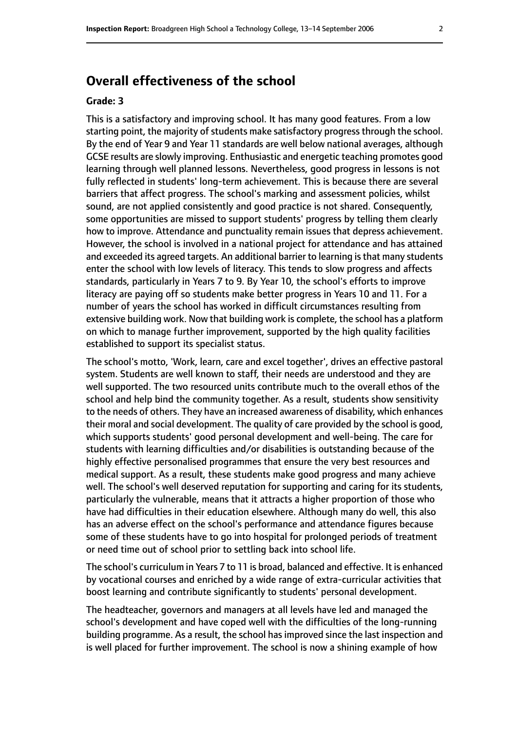# **Overall effectiveness of the school**

#### **Grade: 3**

This is a satisfactory and improving school. It has many good features. From a low starting point, the majority of students make satisfactory progress through the school. By the end of Year 9 and Year 11 standards are well below national averages, although GCSE results are slowly improving. Enthusiastic and energetic teaching promotes good learning through well planned lessons. Nevertheless, good progress in lessons is not fully reflected in students' long-term achievement. This is because there are several barriers that affect progress. The school's marking and assessment policies, whilst sound, are not applied consistently and good practice is not shared. Consequently, some opportunities are missed to support students' progress by telling them clearly how to improve. Attendance and punctuality remain issues that depress achievement. However, the school is involved in a national project for attendance and has attained and exceeded its agreed targets. An additional barrier to learning is that many students enter the school with low levels of literacy. This tends to slow progress and affects standards, particularly in Years 7 to 9. By Year 10, the school's efforts to improve literacy are paying off so students make better progress in Years 10 and 11. For a number of years the school has worked in difficult circumstances resulting from extensive building work. Now that building work is complete, the school has a platform on which to manage further improvement, supported by the high quality facilities established to support its specialist status.

The school's motto, 'Work, learn, care and excel together', drives an effective pastoral system. Students are well known to staff, their needs are understood and they are well supported. The two resourced units contribute much to the overall ethos of the school and help bind the community together. As a result, students show sensitivity to the needs of others. They have an increased awareness of disability, which enhances their moral and social development. The quality of care provided by the school is good, which supports students' good personal development and well-being. The care for students with learning difficulties and/or disabilities is outstanding because of the highly effective personalised programmes that ensure the very best resources and medical support. As a result, these students make good progress and many achieve well. The school's well deserved reputation for supporting and caring for its students, particularly the vulnerable, means that it attracts a higher proportion of those who have had difficulties in their education elsewhere. Although many do well, this also has an adverse effect on the school's performance and attendance figures because some of these students have to go into hospital for prolonged periods of treatment or need time out of school prior to settling back into school life.

The school's curriculum in Years 7 to 11 is broad, balanced and effective. It is enhanced by vocational courses and enriched by a wide range of extra-curricular activities that boost learning and contribute significantly to students' personal development.

The headteacher, governors and managers at all levels have led and managed the school's development and have coped well with the difficulties of the long-running building programme. As a result, the school has improved since the last inspection and is well placed for further improvement. The school is now a shining example of how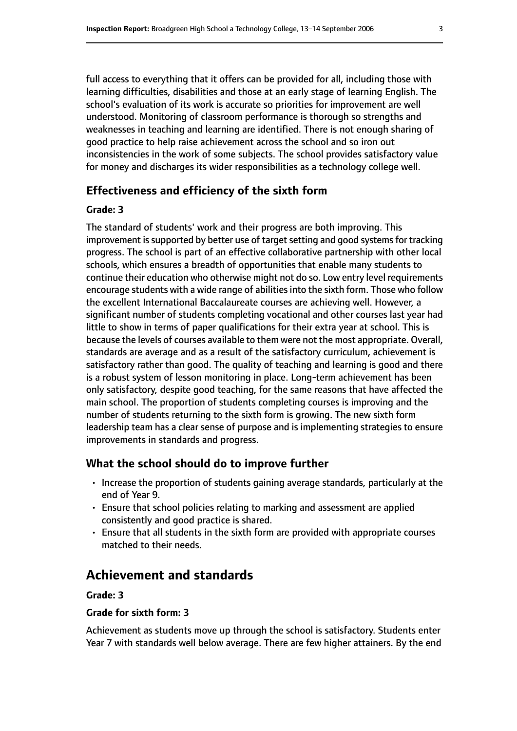full access to everything that it offers can be provided for all, including those with learning difficulties, disabilities and those at an early stage of learning English. The school's evaluation of its work is accurate so priorities for improvement are well understood. Monitoring of classroom performance is thorough so strengths and weaknesses in teaching and learning are identified. There is not enough sharing of good practice to help raise achievement across the school and so iron out inconsistencies in the work of some subjects. The school provides satisfactory value for money and discharges its wider responsibilities as a technology college well.

## **Effectiveness and efficiency of the sixth form**

#### **Grade: 3**

The standard of students' work and their progress are both improving. This improvement is supported by better use of target setting and good systems for tracking progress. The school is part of an effective collaborative partnership with other local schools, which ensures a breadth of opportunities that enable many students to continue their education who otherwise might not do so. Low entry level requirements encourage students with a wide range of abilities into the sixth form. Those who follow the excellent International Baccalaureate courses are achieving well. However, a significant number of students completing vocational and other courses last year had little to show in terms of paper qualifications for their extra year at school. This is because the levels of courses available to them were not the most appropriate. Overall, standards are average and as a result of the satisfactory curriculum, achievement is satisfactory rather than good. The quality of teaching and learning is good and there is a robust system of lesson monitoring in place. Long-term achievement has been only satisfactory, despite good teaching, for the same reasons that have affected the main school. The proportion of students completing courses is improving and the number of students returning to the sixth form is growing. The new sixth form leadership team has a clear sense of purpose and is implementing strategies to ensure improvements in standards and progress.

#### **What the school should do to improve further**

- Increase the proportion of students gaining average standards, particularly at the end of Year 9.
- Ensure that school policies relating to marking and assessment are applied consistently and good practice is shared.
- Ensure that all students in the sixth form are provided with appropriate courses matched to their needs.

# **Achievement and standards**

#### **Grade: 3**

#### **Grade for sixth form: 3**

Achievement as students move up through the school is satisfactory. Students enter Year 7 with standards well below average. There are few higher attainers. By the end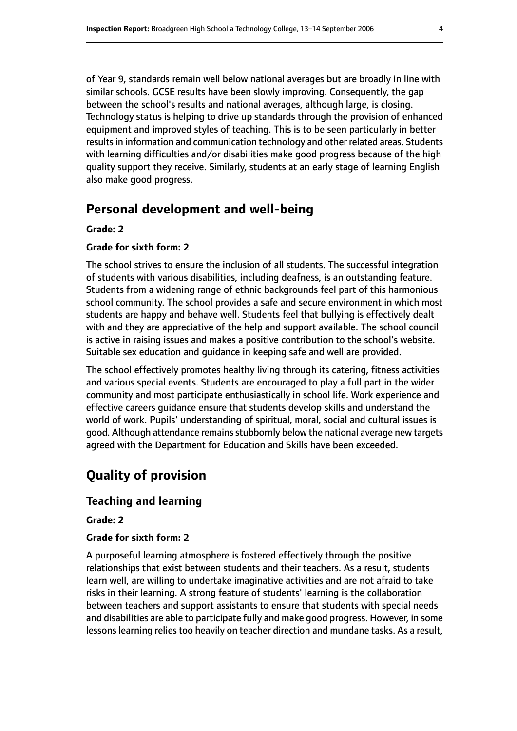of Year 9, standards remain well below national averages but are broadly in line with similar schools. GCSE results have been slowly improving. Consequently, the gap between the school's results and national averages, although large, is closing. Technology status is helping to drive up standards through the provision of enhanced equipment and improved styles of teaching. This is to be seen particularly in better results in information and communication technology and other related areas. Students with learning difficulties and/or disabilities make good progress because of the high quality support they receive. Similarly, students at an early stage of learning English also make good progress.

# **Personal development and well-being**

#### **Grade: 2**

#### **Grade for sixth form: 2**

The school strives to ensure the inclusion of all students. The successful integration of students with various disabilities, including deafness, is an outstanding feature. Students from a widening range of ethnic backgrounds feel part of this harmonious school community. The school provides a safe and secure environment in which most students are happy and behave well. Students feel that bullying is effectively dealt with and they are appreciative of the help and support available. The school council is active in raising issues and makes a positive contribution to the school's website. Suitable sex education and guidance in keeping safe and well are provided.

The school effectively promotes healthy living through its catering, fitness activities and various special events. Students are encouraged to play a full part in the wider community and most participate enthusiastically in school life. Work experience and effective careers guidance ensure that students develop skills and understand the world of work. Pupils' understanding of spiritual, moral, social and cultural issues is good. Although attendance remains stubbornly below the national average new targets agreed with the Department for Education and Skills have been exceeded.

# **Quality of provision**

#### **Teaching and learning**

#### **Grade: 2**

#### **Grade for sixth form: 2**

A purposeful learning atmosphere is fostered effectively through the positive relationships that exist between students and their teachers. As a result, students learn well, are willing to undertake imaginative activities and are not afraid to take risks in their learning. A strong feature of students' learning is the collaboration between teachers and support assistants to ensure that students with special needs and disabilities are able to participate fully and make good progress. However, in some lessons learning relies too heavily on teacher direction and mundane tasks. As a result,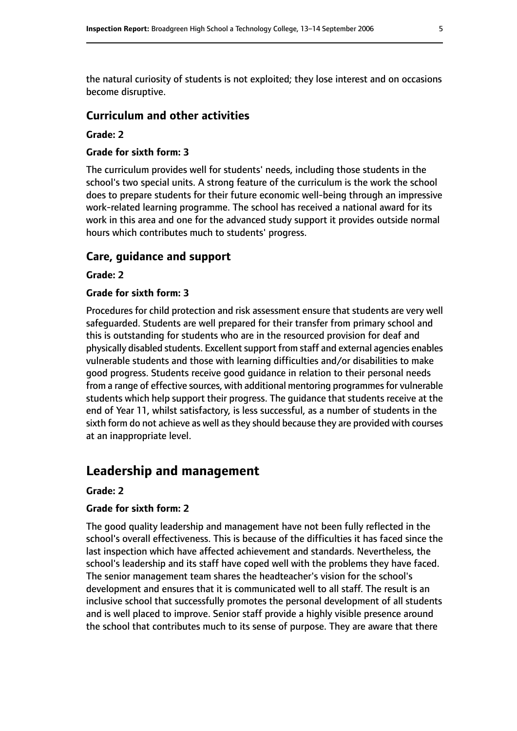the natural curiosity of students is not exploited; they lose interest and on occasions become disruptive.

#### **Curriculum and other activities**

#### **Grade: 2**

#### **Grade for sixth form: 3**

The curriculum provides well for students' needs, including those students in the school's two special units. A strong feature of the curriculum is the work the school does to prepare students for their future economic well-being through an impressive work-related learning programme. The school has received a national award for its work in this area and one for the advanced study support it provides outside normal hours which contributes much to students' progress.

#### **Care, guidance and support**

#### **Grade: 2**

#### **Grade for sixth form: 3**

Procedures for child protection and risk assessment ensure that students are very well safeguarded. Students are well prepared for their transfer from primary school and this is outstanding for students who are in the resourced provision for deaf and physically disabled students. Excellent support from staff and external agencies enables vulnerable students and those with learning difficulties and/or disabilities to make good progress. Students receive good guidance in relation to their personal needs from a range of effective sources, with additional mentoring programmes for vulnerable students which help support their progress. The guidance that students receive at the end of Year 11, whilst satisfactory, is less successful, as a number of students in the sixth form do not achieve as well as they should because they are provided with courses at an inappropriate level.

## **Leadership and management**

#### **Grade: 2**

#### **Grade for sixth form: 2**

The good quality leadership and management have not been fully reflected in the school's overall effectiveness. This is because of the difficulties it has faced since the last inspection which have affected achievement and standards. Nevertheless, the school's leadership and its staff have coped well with the problems they have faced. The senior management team shares the headteacher's vision for the school's development and ensures that it is communicated well to all staff. The result is an inclusive school that successfully promotes the personal development of all students and is well placed to improve. Senior staff provide a highly visible presence around the school that contributes much to its sense of purpose. They are aware that there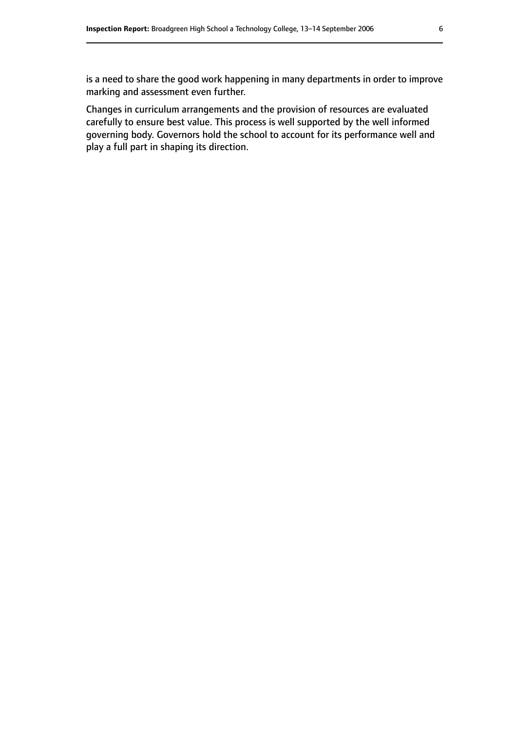is a need to share the good work happening in many departments in order to improve marking and assessment even further.

Changes in curriculum arrangements and the provision of resources are evaluated carefully to ensure best value. This process is well supported by the well informed governing body. Governors hold the school to account for its performance well and play a full part in shaping its direction.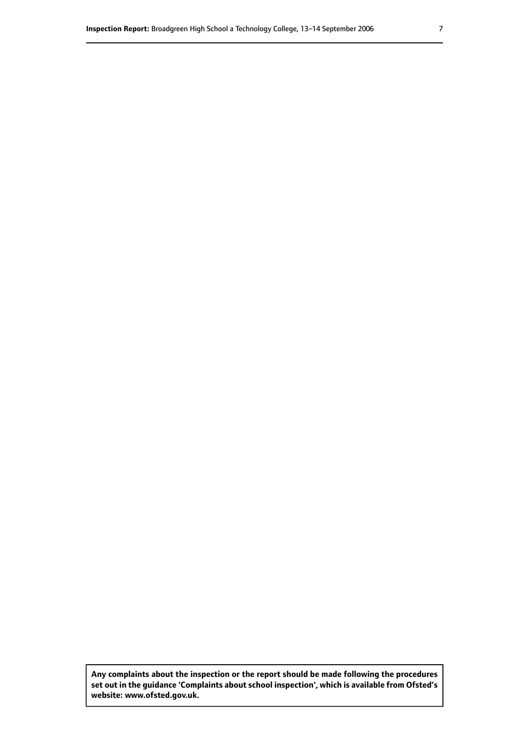**Any complaints about the inspection or the report should be made following the procedures set out inthe guidance 'Complaints about school inspection', whichis available from Ofsted's website: www.ofsted.gov.uk.**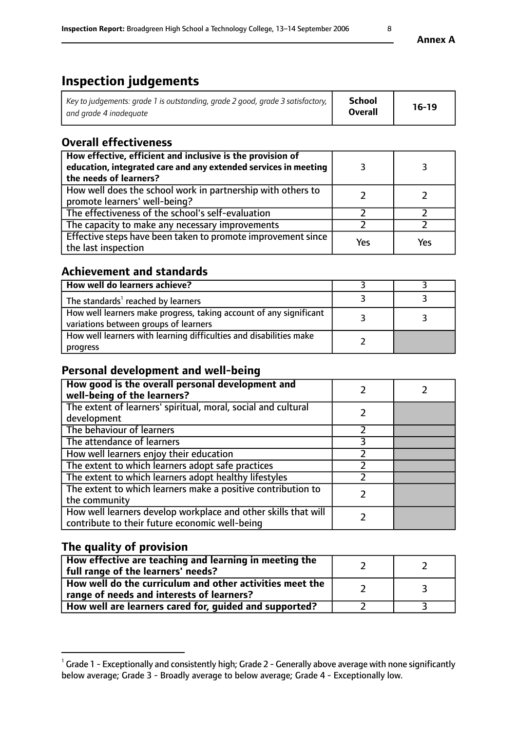# **Inspection judgements**

| Key to judgements: grade 1 is outstanding, grade 2 good, grade 3 satisfactory, $\parallel$ | School         | $16-19$ |
|--------------------------------------------------------------------------------------------|----------------|---------|
| and grade 4 inadeguate                                                                     | <b>Overall</b> |         |

# **Overall effectiveness**

| How effective, efficient and inclusive is the provision of<br>education, integrated care and any extended services in meeting<br>the needs of learners? |     |     |
|---------------------------------------------------------------------------------------------------------------------------------------------------------|-----|-----|
| How well does the school work in partnership with others to<br>promote learners' well-being?                                                            |     |     |
| The effectiveness of the school's self-evaluation                                                                                                       |     |     |
| The capacity to make any necessary improvements                                                                                                         |     |     |
| Effective steps have been taken to promote improvement since<br>the last inspection                                                                     | Yes | Yes |

# **Achievement and standards**

| How well do learners achieve?                                                                               |  |
|-------------------------------------------------------------------------------------------------------------|--|
| The standards <sup>1</sup> reached by learners                                                              |  |
| How well learners make progress, taking account of any significant<br>variations between groups of learners |  |
| How well learners with learning difficulties and disabilities make<br>progress                              |  |

# **Personal development and well-being**

| How good is the overall personal development and<br>well-being of the learners?                                  |  |
|------------------------------------------------------------------------------------------------------------------|--|
| The extent of learners' spiritual, moral, social and cultural<br>development                                     |  |
| The behaviour of learners                                                                                        |  |
| The attendance of learners                                                                                       |  |
| How well learners enjoy their education                                                                          |  |
| The extent to which learners adopt safe practices                                                                |  |
| The extent to which learners adopt healthy lifestyles                                                            |  |
| The extent to which learners make a positive contribution to<br>the community                                    |  |
| How well learners develop workplace and other skills that will<br>contribute to their future economic well-being |  |

# **The quality of provision**

| How effective are teaching and learning in meeting the<br>full range of the learners' needs?          |  |
|-------------------------------------------------------------------------------------------------------|--|
| How well do the curriculum and other activities meet the<br>range of needs and interests of learners? |  |
| How well are learners cared for, guided and supported?                                                |  |

 $^1$  Grade 1 - Exceptionally and consistently high; Grade 2 - Generally above average with none significantly below average; Grade 3 - Broadly average to below average; Grade 4 - Exceptionally low.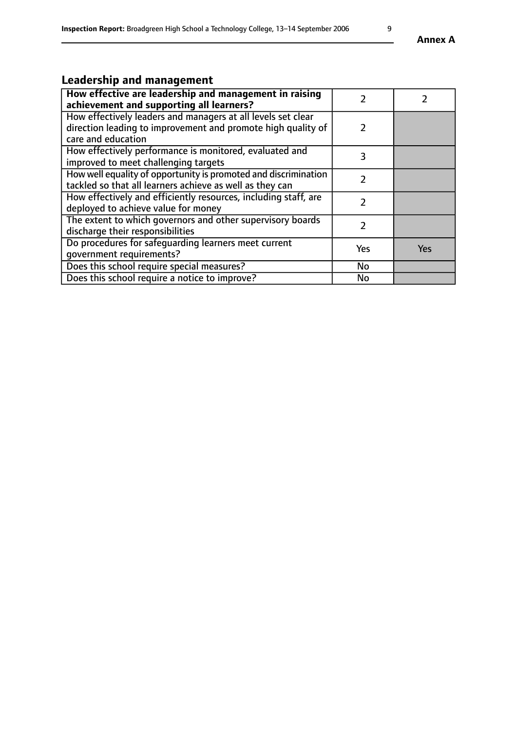# **Leadership and management**

| How effective are leadership and management in raising<br>achievement and supporting all learners?                                                 |     |     |
|----------------------------------------------------------------------------------------------------------------------------------------------------|-----|-----|
| How effectively leaders and managers at all levels set clear<br>direction leading to improvement and promote high quality of<br>care and education |     |     |
| How effectively performance is monitored, evaluated and<br>improved to meet challenging targets                                                    | 3   |     |
| How well equality of opportunity is promoted and discrimination<br>tackled so that all learners achieve as well as they can                        |     |     |
| How effectively and efficiently resources, including staff, are<br>deployed to achieve value for money                                             | フ   |     |
| The extent to which governors and other supervisory boards<br>discharge their responsibilities                                                     |     |     |
| Do procedures for safequarding learners meet current<br>qovernment requirements?                                                                   | Yes | Yes |
| Does this school require special measures?                                                                                                         | No  |     |
| Does this school require a notice to improve?                                                                                                      | No  |     |

**Annex A**